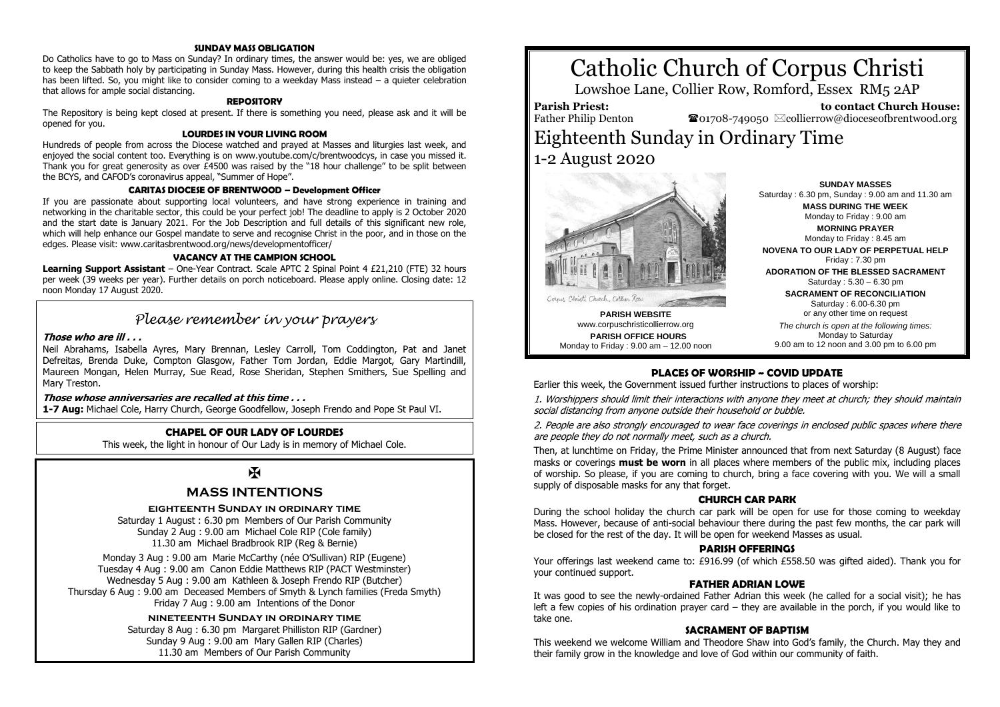### **SUNDAY MASS OBLIGATION**

Do Catholics have to go to Mass on Sunday? In ordinary times, the answer would be: yes, we are obliged to keep the Sabbath holy by participating in Sunday Mass. However, during this health crisis the obligation has been lifted. So, you might like to consider coming to a weekday Mass instead – a quieter celebration that allows for ample social distancing.

### **REPOSITORY**

The Repository is being kept closed at present. If there is something you need, please ask and it will be opened for you.

### **LOURDES IN YOUR LIVING ROOM**

Hundreds of people from across the Diocese watched and prayed at Masses and liturgies last week, and enjoyed the social content too. Everything is on www.youtube.com/c/brentwoodcys, in case you missed it. Thank you for great generosity as over  $E$ 4500 was raised by the "18 hour challenge" to be split between the BCYS, and CAFOD's coronavirus appeal, "Summer of Hope".

### **CARITAS DIOCESE OF BRENTWOOD – Development Officer**

If you are passionate about supporting local volunteers, and have strong experience in training and networking in the charitable sector, this could be your perfect job! The deadline to apply is 2 October 2020 and the start date is January 2021. For the Job Description and full details of this significant new role, which will help enhance our Gospel mandate to serve and recognise Christ in the poor, and in those on the edges. Please visit: www.caritasbrentwood.org/news/developmentofficer/

### **VACANCY AT THE CAMPION SCHOOL**

**Learning Support Assistant** – One-Year Contract. Scale APTC 2 Spinal Point 4 £21,210 (FTE) 32 hours per week (39 weeks per year). Further details on porch noticeboard. Please apply online. Closing date: 12 noon Monday 17 August 2020.

## *Please remember in your prayers*

### **Those who are ill . . .**

Neil Abrahams, Isabella Ayres, Mary Brennan, Lesley Carroll, Tom Coddington, Pat and Janet Defreitas, Brenda Duke, Compton Glasgow, Father Tom Jordan, Eddie Margot, Gary Martindill, Maureen Mongan, Helen Murray, Sue Read, Rose Sheridan, Stephen Smithers, Sue Spelling and Mary Treston.

### **Those whose anniversaries are recalled at this time . . .**

**1-7 Aug:** Michael Cole, Harry Church, George Goodfellow, Joseph Frendo and Pope St Paul VI.

### **CHAPEL OF OUR LADY OF LOURDES**

This week, the light in honour of Our Lady is in memory of Michael Cole.

## K

### **MASS INTENTIONS**

### **eighteenth Sunday in ordinary time**

Saturday 1 August : 6.30 pm Members of Our Parish Community Sunday 2 Aug : 9.00 am Michael Cole RIP (Cole family) 11.30 am Michael Bradbrook RIP (Reg & Bernie)

Monday 3 Aug : 9.00 am Marie McCarthy (née O'Sullivan) RIP (Eugene) Tuesday 4 Aug : 9.00 am Canon Eddie Matthews RIP (PACT Westminster) Wednesday 5 Aug : 9.00 am Kathleen & Joseph Frendo RIP (Butcher) Thursday 6 Aug : 9.00 am Deceased Members of Smyth & Lynch families (Freda Smyth) Friday 7 Aug : 9.00 am Intentions of the Donor

> **nineteenth Sunday in ordinary time** Saturday 8 Aug : 6.30 pm Margaret Philliston RIP (Gardner) Sunday 9 Aug : 9.00 am Mary Gallen RIP (Charles) 11.30 am Members of Our Parish Community

# Catholic Church of Corpus Christi

Lowshoe Lane, Collier Row, Romford, Essex RM5 2AP

**Parish Priest:** Father Philip Denton

 **to contact Church House:**  $\bullet$ 01708-749050  $\boxtimes$ collierrow@dioceseofbrentwood.org

## Eighteenth Sunday in Ordinary Time 1-2 August 2020



**PARISH WEBSITE** www.corpuschristicollierrow.org **PARISH OFFICE HOURS** Monday to Friday : 9.00 am – 12.00 noon

**SUNDAY MASSES** Saturday : 6.30 pm, Sunday : 9.00 am and 11.30 am **MASS DURING THE WEEK** Monday to Friday : 9.00 am **MORNING PRAYER** Monday to Friday : 8.45 am **NOVENA TO OUR LADY OF PERPETUAL HELP**

Friday : 7.30 pm

**ADORATION OF THE BLESSED SACRAMENT** Saturday : 5.30 – 6.30 pm

> **SACRAMENT OF RECONCILIATION** Saturday : 6.00-6.30 pm or any other time on request

*The church is open at the following times:* Monday to Saturday 9.00 am to 12 noon and 3.00 pm to 6.00 pm

### **PLACES OF WORSHIP ~ COVID UPDATE**

Earlier this week, the Government issued further instructions to places of worship:

1. Worshippers should limit their interactions with anyone they meet at church; they should maintain social distancing from anyone outside their household or bubble.

2. People are also strongly encouraged to wear face coverings in enclosed public spaces where there are people they do not normally meet, such as a church.

Then, at lunchtime on Friday, the Prime Minister announced that from next Saturday (8 August) face masks or coverings **must be worn** in all places where members of the public mix, including places of worship. So please, if you are coming to church, bring a face covering with you. We will a small supply of disposable masks for any that forget.

### **CHURCH CAR PARK**

During the school holiday the church car park will be open for use for those coming to weekday Mass. However, because of anti-social behaviour there during the past few months, the car park will be closed for the rest of the day. It will be open for weekend Masses as usual.

### **PARISH OFFERINGS**

Your offerings last weekend came to: £916.99 (of which £558.50 was gifted aided). Thank you for your continued support.

### **FATHER ADRIAN LOWE**

It was good to see the newly-ordained Father Adrian this week (he called for a social visit); he has left a few copies of his ordination prayer card – they are available in the porch, if you would like to take one.

### **SACRAMENT OF BAPTISM**

This weekend we welcome William and Theodore Shaw into God's family, the Church. May they and their family grow in the knowledge and love of God within our community of faith.